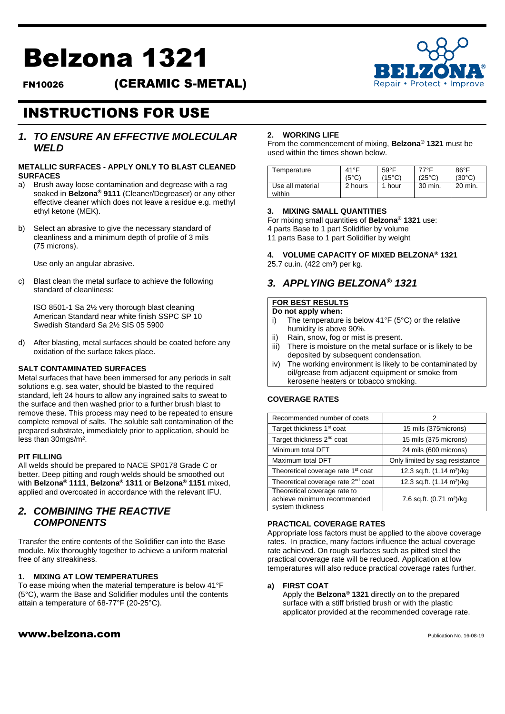# Belzona 1321

FN10026 (CERAMIC S-METAL)



# INSTRUCTIONS FOR USE

### *1. TO ENSURE AN EFFECTIVE MOLECULAR WELD*

#### **METALLIC SURFACES - APPLY ONLY TO BLAST CLEANED SURFACES**

- a) Brush away loose contamination and degrease with a rag soaked in **Belzona® 9111** (Cleaner/Degreaser) or any other effective cleaner which does not leave a residue e.g. methyl ethyl ketone (MEK).
- b) Select an abrasive to give the necessary standard of cleanliness and a minimum depth of profile of 3 mils (75 microns).

Use only an angular abrasive.

c) Blast clean the metal surface to achieve the following standard of cleanliness:

ISO 8501-1 Sa 2½ very thorough blast cleaning American Standard near white finish SSPC SP 10 Swedish Standard Sa 2½ SIS 05 5900

d) After blasting, metal surfaces should be coated before any oxidation of the surface takes place.

#### **SALT CONTAMINATED SURFACES**

Metal surfaces that have been immersed for any periods in salt solutions e.g. sea water, should be blasted to the required standard, left 24 hours to allow any ingrained salts to sweat to the surface and then washed prior to a further brush blast to remove these. This process may need to be repeated to ensure complete removal of salts. The soluble salt contamination of the prepared substrate, immediately prior to application, should be less than 30mgs/m².

#### **PIT FILLING**

All welds should be prepared to NACE SP0178 Grade C or better. Deep pitting and rough welds should be smoothed out with **Belzona® 1111**, **Belzona® 1311** or **Belzona® 1151** mixed, applied and overcoated in accordance with the relevant IFU.

# *2. COMBINING THE REACTIVE COMPONENTS*

Transfer the entire contents of the Solidifier can into the Base module. Mix thoroughly together to achieve a uniform material free of any streakiness.

#### **1. MIXING AT LOW TEMPERATURES**

To ease mixing when the material temperature is below 41°F (5°C), warm the Base and Solidifier modules until the contents attain a temperature of 68-77°F (20-25°C).

#### $www.belzona.com$

#### **2. WORKING LIFE**

From the commencement of mixing, **Belzona® 1321** must be used within the times shown below.

| Temperature                | $41^{\circ}$ F | $59^{\circ}$ F  | 77°F    | $86^{\circ}$ F  |
|----------------------------|----------------|-----------------|---------|-----------------|
|                            | $(5^{\circ}C)$ | $(15^{\circ}C)$ | (25°C)  | $(30^{\circ}C)$ |
| Use all material<br>within | 2 hours        | 1 hour          | 30 min. | 20 min.         |

#### **3. MIXING SMALL QUANTITIES**

For mixing small quantities of **Belzona® 1321** use: 4 parts Base to 1 part Solidifier by volume 11 parts Base to 1 part Solidifier by weight

**4. VOLUME CAPACITY OF MIXED BELZONA® 1321** 25.7 cu.in. (422 cm<sup>3</sup>) per kg.

# *3. APPLYING BELZONA® 1321*

# **FOR BEST RESULTS**

#### **Do not apply when:**

- i) The temperature is below 41°F (5°C) or the relative humidity is above 90%.
- ii) Rain, snow, fog or mist is present.
- iii) There is moisture on the metal surface or is likely to be deposited by subsequent condensation.
- iv) The working environment is likely to be contaminated by oil/grease from adjacent equipment or smoke from kerosene heaters or tobacco smoking.

#### **COVERAGE RATES**

| Recommended number of coats                                                     | 2                                     |  |
|---------------------------------------------------------------------------------|---------------------------------------|--|
| Target thickness 1 <sup>st</sup> coat                                           | 15 mils (375microns)                  |  |
| Target thickness 2 <sup>nd</sup> coat                                           | 15 mils (375 microns)                 |  |
| Minimum total DFT                                                               | 24 mils (600 microns)                 |  |
| Maximum total DFT                                                               | Only limited by sag resistance        |  |
| Theoretical coverage rate 1 <sup>st</sup> coat                                  | 12.3 sq.ft. (1.14 m <sup>2</sup> )/kg |  |
| Theoretical coverage rate 2 <sup>nd</sup> coat                                  | 12.3 sq.ft. (1.14 m <sup>2</sup> )/kg |  |
| Theoretical coverage rate to<br>achieve minimum recommended<br>system thickness | 7.6 sq.ft. (0.71 m <sup>2</sup> )/kg  |  |

#### **PRACTICAL COVERAGE RATES**

Appropriate loss factors must be applied to the above coverage rates. In practice, many factors influence the actual coverage rate achieved. On rough surfaces such as pitted steel the practical coverage rate will be reduced. Application at low temperatures will also reduce practical coverage rates further.

#### **a) FIRST COAT**

Apply the **Belzona® 1321** directly on to the prepared surface with a stiff bristled brush or with the plastic applicator provided at the recommended coverage rate.